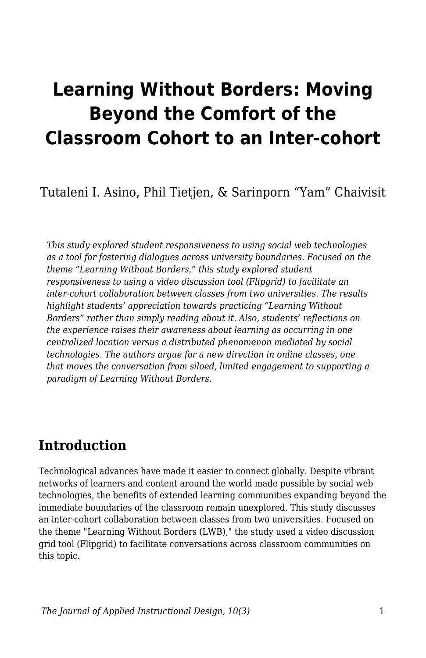# **Learning Without Borders: Moving Beyond the Comfort of the Classroom Cohort to an Inter-cohort**

Tutaleni I. Asino, Phil Tietjen, & Sarinporn "Yam" Chaivisit

*This study explored student responsiveness to using social web technologies as a tool for fostering dialogues across university boundaries. Focused on the theme "Learning Without Borders," this study explored student responsiveness to using a video discussion tool (Flipgrid) to facilitate an inter-cohort collaboration between classes from two universities. The results highlight students' appreciation towards practicing "Learning Without Borders" rather than simply reading about it. Also, students' reflections on the experience raises their awareness about learning as occurring in one centralized location versus a distributed phenomenon mediated by social technologies. The authors argue for a new direction in online classes, one that moves the conversation from siloed, limited engagement to supporting a paradigm of Learning Without Borders.*

## **Introduction**

Technological advances have made it easier to connect globally. Despite vibrant networks of learners and content around the world made possible by social web technologies, the benefits of extended learning communities expanding beyond the immediate boundaries of the classroom remain unexplored. This study discusses an inter-cohort collaboration between classes from two universities. Focused on the theme "Learning Without Borders (LWB)," the study used a video discussion grid tool (Flipgrid) to facilitate conversations across classroom communities on this topic.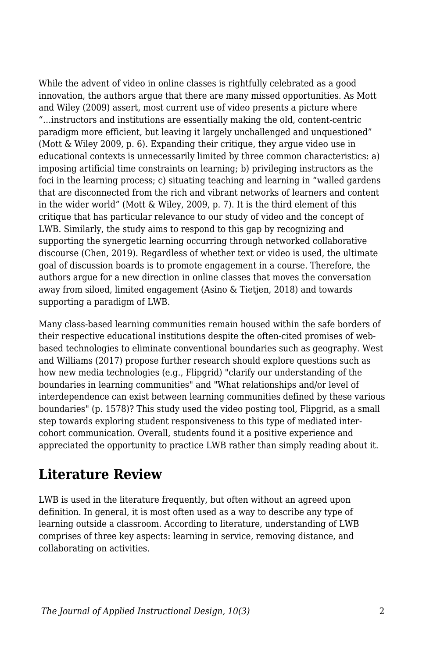While the advent of video in online classes is rightfully celebrated as a good innovation, the authors argue that there are many missed opportunities. As Mott and Wiley (2009) assert, most current use of video presents a picture where "…instructors and institutions are essentially making the old, content-centric paradigm more efficient, but leaving it largely unchallenged and unquestioned" (Mott & Wiley 2009, p. 6). Expanding their critique, they argue video use in educational contexts is unnecessarily limited by three common characteristics: a) imposing artificial time constraints on learning; b) privileging instructors as the foci in the learning process; c) situating teaching and learning in "walled gardens that are disconnected from the rich and vibrant networks of learners and content in the wider world" (Mott & Wiley, 2009, p. 7). It is the third element of this critique that has particular relevance to our study of video and the concept of LWB. Similarly, the study aims to respond to this gap by recognizing and supporting the synergetic learning occurring through networked collaborative discourse (Chen, 2019). Regardless of whether text or video is used, the ultimate goal of discussion boards is to promote engagement in a course. Therefore, the authors argue for a new direction in online classes that moves the conversation away from siloed, limited engagement (Asino & Tietjen, 2018) and towards supporting a paradigm of LWB.

Many class-based learning communities remain housed within the safe borders of their respective educational institutions despite the often-cited promises of webbased technologies to eliminate conventional boundaries such as geography. West and Williams (2017) propose further research should explore questions such as how new media technologies (e.g., Flipgrid) "clarify our understanding of the boundaries in learning communities" and "What relationships and/or level of interdependence can exist between learning communities defined by these various boundaries" (p. 1578)? This study used the video posting tool, Flipgrid, as a small step towards exploring student responsiveness to this type of mediated intercohort communication. Overall, students found it a positive experience and appreciated the opportunity to practice LWB rather than simply reading about it.

## **Literature Review**

LWB is used in the literature frequently, but often without an agreed upon definition. In general, it is most often used as a way to describe any type of learning outside a classroom. According to literature, understanding of LWB comprises of three key aspects: learning in service, removing distance, and collaborating on activities.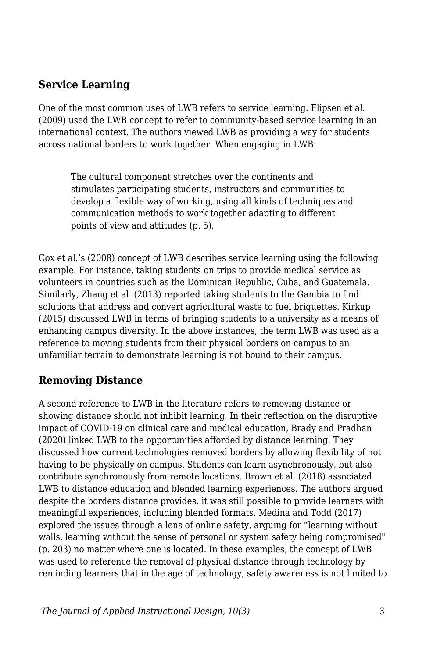### **Service Learning**

One of the most common uses of LWB refers to service learning. Flipsen et al. (2009) used the LWB concept to refer to community-based service learning in an international context. The authors viewed LWB as providing a way for students across national borders to work together. When engaging in LWB:

The cultural component stretches over the continents and stimulates participating students, instructors and communities to develop a flexible way of working, using all kinds of techniques and communication methods to work together adapting to different points of view and attitudes (p. 5).

Cox et al.'s (2008) concept of LWB describes service learning using the following example. For instance, taking students on trips to provide medical service as volunteers in countries such as the Dominican Republic, Cuba, and Guatemala. Similarly, Zhang et al. (2013) reported taking students to the Gambia to find solutions that address and convert agricultural waste to fuel briquettes. Kirkup (2015) discussed LWB in terms of bringing students to a university as a means of enhancing campus diversity. In the above instances, the term LWB was used as a reference to moving students from their physical borders on campus to an unfamiliar terrain to demonstrate learning is not bound to their campus.

### **Removing Distance**

A second reference to LWB in the literature refers to removing distance or showing distance should not inhibit learning. In their reflection on the disruptive impact of COVID-19 on clinical care and medical education, Brady and Pradhan (2020) linked LWB to the opportunities afforded by distance learning. They discussed how current technologies removed borders by allowing flexibility of not having to be physically on campus. Students can learn asynchronously, but also contribute synchronously from remote locations. Brown et al. (2018) associated LWB to distance education and blended learning experiences. The authors argued despite the borders distance provides, it was still possible to provide learners with meaningful experiences, including blended formats. Medina and Todd (2017) explored the issues through a lens of online safety, arguing for "learning without walls, learning without the sense of personal or system safety being compromised" (p. 203) no matter where one is located. In these examples, the concept of LWB was used to reference the removal of physical distance through technology by reminding learners that in the age of technology, safety awareness is not limited to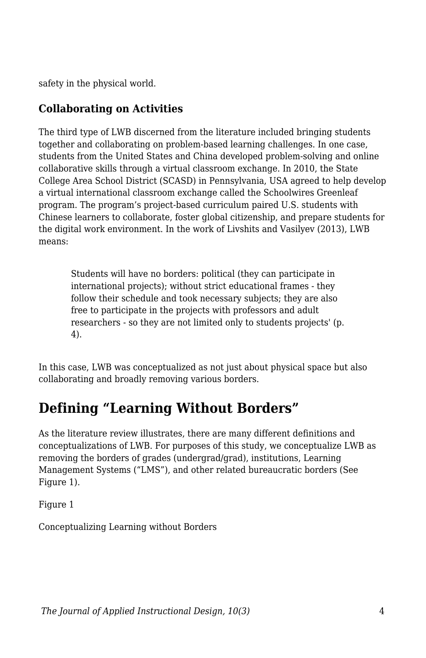safety in the physical world.

### **Collaborating on Activities**

The third type of LWB discerned from the literature included bringing students together and collaborating on problem-based learning challenges. In one case, students from the United States and China developed problem-solving and online collaborative skills through a virtual classroom exchange. In 2010, the State College Area School District (SCASD) in Pennsylvania, USA agreed to help develop a virtual international classroom exchange called the Schoolwires Greenleaf program. The program's project-based curriculum paired U.S. students with Chinese learners to collaborate, foster global citizenship, and prepare students for the digital work environment. In the work of Livshits and Vasilyev (2013), LWB means:

Students will have no borders: political (they can participate in international projects); without strict educational frames - they follow their schedule and took necessary subjects; they are also free to participate in the projects with professors and adult researchers - so they are not limited only to students projects' (p. 4).

In this case, LWB was conceptualized as not just about physical space but also collaborating and broadly removing various borders.

## **Defining "Learning Without Borders"**

As the literature review illustrates, there are many different definitions and conceptualizations of LWB. For purposes of this study, we conceptualize LWB as removing the borders of grades (undergrad/grad), institutions, Learning Management Systems ("LMS"), and other related bureaucratic borders (See Figure 1).

Figure 1

Conceptualizing Learning without Borders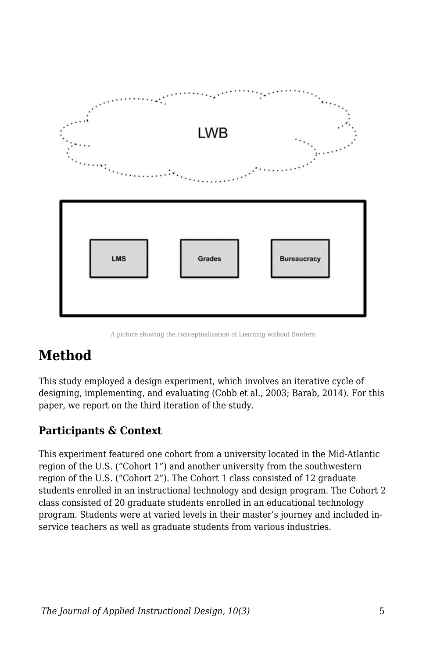

A picture showing the conceptualization of Learning without Borders

## **Method**

This study employed a design experiment, which involves an iterative cycle of designing, implementing, and evaluating (Cobb et al., 2003; Barab, 2014). For this paper, we report on the third iteration of the study.

## **Participants & Context**

This experiment featured one cohort from a university located in the Mid-Atlantic region of the U.S. ("Cohort 1") and another university from the southwestern region of the U.S. ("Cohort 2"). The Cohort 1 class consisted of 12 graduate students enrolled in an instructional technology and design program. The Cohort 2 class consisted of 20 graduate students enrolled in an educational technology program. Students were at varied levels in their master's journey and included inservice teachers as well as graduate students from various industries.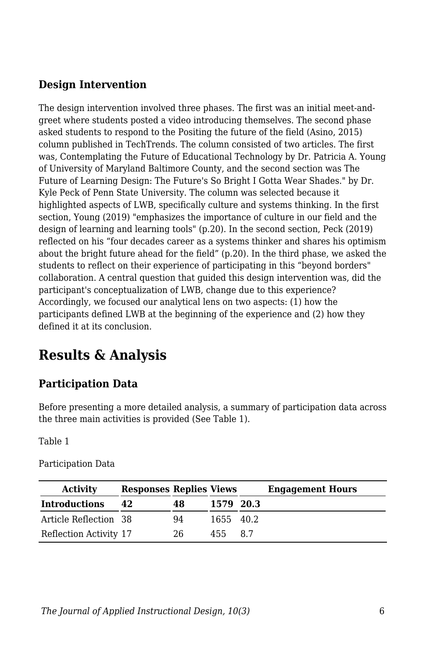### **Design Intervention**

The design intervention involved three phases. The first was an initial meet-andgreet where students posted a video introducing themselves. The second phase asked students to respond to the Positing the future of the field (Asino, 2015) column published in TechTrends. The column consisted of two articles. The first was, Contemplating the Future of Educational Technology by Dr. Patricia A. Young of University of Maryland Baltimore County, and the second section was The Future of Learning Design: The Future's So Bright I Gotta Wear Shades." by Dr. Kyle Peck of Penn State University. The column was selected because it highlighted aspects of LWB, specifically culture and systems thinking. In the first section, Young (2019) "emphasizes the importance of culture in our field and the design of learning and learning tools" (p.20). In the second section, Peck (2019) reflected on his "four decades career as a systems thinker and shares his optimism about the bright future ahead for the field" (p.20). In the third phase, we asked the students to reflect on their experience of participating in this "beyond borders" collaboration. A central question that guided this design intervention was, did the participant's conceptualization of LWB, change due to this experience? Accordingly, we focused our analytical lens on two aspects: (1) how the participants defined LWB at the beginning of the experience and (2) how they defined it at its conclusion.

## **Results & Analysis**

## **Participation Data**

Before presenting a more detailed analysis, a summary of participation data across the three main activities is provided (See Table 1).

Table 1

| <b>Activity</b>        | <b>Responses Replies Views</b> |    |           |    | <b>Engagement Hours</b> |
|------------------------|--------------------------------|----|-----------|----|-------------------------|
| <b>Introductions</b>   | 42                             | 48 | 1579 20.3 |    |                         |
| Article Reflection 38  |                                | 94 | 1655 40.2 |    |                         |
| Reflection Activity 17 |                                | 26 | 455.      | 87 |                         |

Participation Data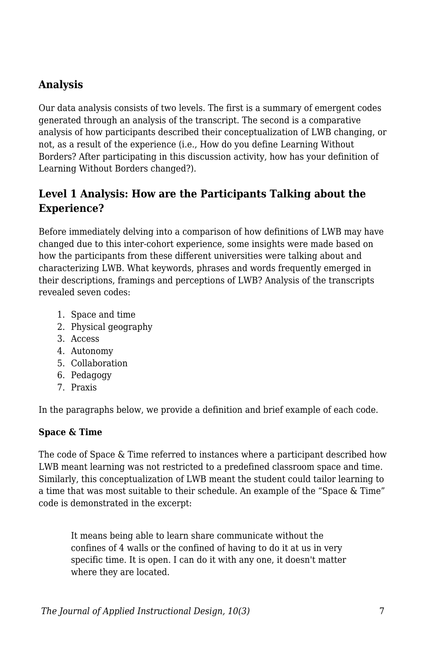### **Analysis**

Our data analysis consists of two levels. The first is a summary of emergent codes generated through an analysis of the transcript. The second is a comparative analysis of how participants described their conceptualization of LWB changing, or not, as a result of the experience (i.e., How do you define Learning Without Borders? After participating in this discussion activity, how has your definition of Learning Without Borders changed?).

### **Level 1 Analysis: How are the Participants Talking about the Experience?**

Before immediately delving into a comparison of how definitions of LWB may have changed due to this inter-cohort experience, some insights were made based on how the participants from these different universities were talking about and characterizing LWB. What keywords, phrases and words frequently emerged in their descriptions, framings and perceptions of LWB? Analysis of the transcripts revealed seven codes:

- 1. Space and time
- 2. Physical geography
- 3. Access
- 4. Autonomy
- 5. Collaboration
- 6. Pedagogy
- 7. Praxis

In the paragraphs below, we provide a definition and brief example of each code.

#### **Space & Time**

The code of Space & Time referred to instances where a participant described how LWB meant learning was not restricted to a predefined classroom space and time. Similarly, this conceptualization of LWB meant the student could tailor learning to a time that was most suitable to their schedule. An example of the "Space & Time" code is demonstrated in the excerpt:

It means being able to learn share communicate without the confines of 4 walls or the confined of having to do it at us in very specific time. It is open. I can do it with any one, it doesn't matter where they are located.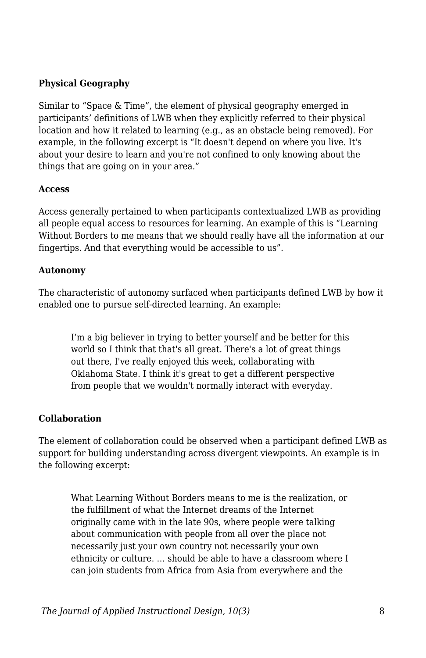#### **Physical Geography**

Similar to "Space & Time", the element of physical geography emerged in participants' definitions of LWB when they explicitly referred to their physical location and how it related to learning (e.g., as an obstacle being removed). For example, in the following excerpt is "It doesn't depend on where you live. It's about your desire to learn and you're not confined to only knowing about the things that are going on in your area."

#### **Access**

Access generally pertained to when participants contextualized LWB as providing all people equal access to resources for learning. An example of this is "Learning Without Borders to me means that we should really have all the information at our fingertips. And that everything would be accessible to us".

#### **Autonomy**

The characteristic of autonomy surfaced when participants defined LWB by how it enabled one to pursue self-directed learning. An example:

I'm a big believer in trying to better yourself and be better for this world so I think that that's all great. There's a lot of great things out there, I've really enjoyed this week, collaborating with Oklahoma State. I think it's great to get a different perspective from people that we wouldn't normally interact with everyday.

#### **Collaboration**

The element of collaboration could be observed when a participant defined LWB as support for building understanding across divergent viewpoints. An example is in the following excerpt:

What Learning Without Borders means to me is the realization, or the fulfillment of what the Internet dreams of the Internet originally came with in the late 90s, where people were talking about communication with people from all over the place not necessarily just your own country not necessarily your own ethnicity or culture. … should be able to have a classroom where I can join students from Africa from Asia from everywhere and the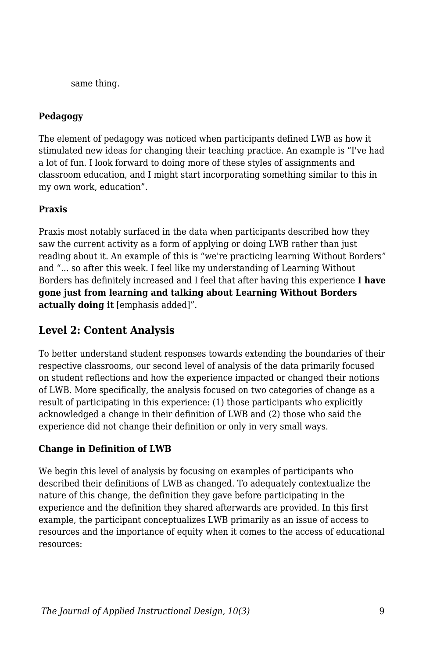same thing.

### **Pedagogy**

The element of pedagogy was noticed when participants defined LWB as how it stimulated new ideas for changing their teaching practice. An example is "I've had a lot of fun. I look forward to doing more of these styles of assignments and classroom education, and I might start incorporating something similar to this in my own work, education".

#### **Praxis**

Praxis most notably surfaced in the data when participants described how they saw the current activity as a form of applying or doing LWB rather than just reading about it. An example of this is "we're practicing learning Without Borders" and "... so after this week. I feel like my understanding of Learning Without Borders has definitely increased and I feel that after having this experience **I have gone just from learning and talking about Learning Without Borders actually doing it** [emphasis added]".

### **Level 2: Content Analysis**

To better understand student responses towards extending the boundaries of their respective classrooms, our second level of analysis of the data primarily focused on student reflections and how the experience impacted or changed their notions of LWB. More specifically, the analysis focused on two categories of change as a result of participating in this experience: (1) those participants who explicitly acknowledged a change in their definition of LWB and (2) those who said the experience did not change their definition or only in very small ways.

#### **Change in Definition of LWB**

We begin this level of analysis by focusing on examples of participants who described their definitions of LWB as changed. To adequately contextualize the nature of this change, the definition they gave before participating in the experience and the definition they shared afterwards are provided. In this first example, the participant conceptualizes LWB primarily as an issue of access to resources and the importance of equity when it comes to the access of educational resources: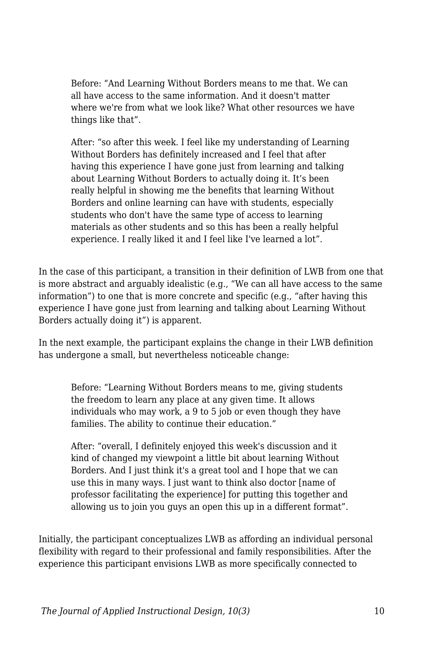Before: "And Learning Without Borders means to me that. We can all have access to the same information. And it doesn't matter where we're from what we look like? What other resources we have things like that".

After: "so after this week. I feel like my understanding of Learning Without Borders has definitely increased and I feel that after having this experience I have gone just from learning and talking about Learning Without Borders to actually doing it. It's been really helpful in showing me the benefits that learning Without Borders and online learning can have with students, especially students who don't have the same type of access to learning materials as other students and so this has been a really helpful experience. I really liked it and I feel like I've learned a lot".

In the case of this participant, a transition in their definition of LWB from one that is more abstract and arguably idealistic (e.g., "We can all have access to the same information") to one that is more concrete and specific (e.g., "after having this experience I have gone just from learning and talking about Learning Without Borders actually doing it") is apparent.

In the next example, the participant explains the change in their LWB definition has undergone a small, but nevertheless noticeable change:

Before: "Learning Without Borders means to me, giving students the freedom to learn any place at any given time. It allows individuals who may work, a 9 to 5 job or even though they have families. The ability to continue their education."

After: "overall, I definitely enjoyed this week's discussion and it kind of changed my viewpoint a little bit about learning Without Borders. And I just think it's a great tool and I hope that we can use this in many ways. I just want to think also doctor [name of professor facilitating the experience] for putting this together and allowing us to join you guys an open this up in a different format".

Initially, the participant conceptualizes LWB as affording an individual personal flexibility with regard to their professional and family responsibilities. After the experience this participant envisions LWB as more specifically connected to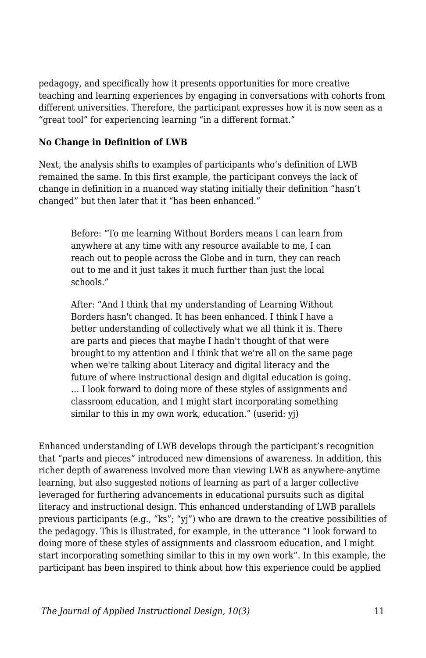pedagogy, and specifically how it presents opportunities for more creative teaching and learning experiences by engaging in conversations with cohorts from different universities. Therefore, the participant expresses how it is now seen as a "great tool" for experiencing learning "in a different format."

#### **No Change in Definition of LWB**

Next, the analysis shifts to examples of participants who's definition of LWB remained the same. In this first example, the participant conveys the lack of change in definition in a nuanced way stating initially their definition "hasn't changed" but then later that it "has been enhanced."

Before: "To me learning Without Borders means I can learn from anywhere at any time with any resource available to me, I can reach out to people across the Globe and in turn, they can reach out to me and it just takes it much further than just the local schools."

After: "And I think that my understanding of Learning Without Borders hasn't changed. It has been enhanced. I think I have a better understanding of collectively what we all think it is. There are parts and pieces that maybe I hadn't thought of that were brought to my attention and I think that we're all on the same page when we're talking about Literacy and digital literacy and the future of where instructional design and digital education is going. … I look forward to doing more of these styles of assignments and classroom education, and I might start incorporating something similar to this in my own work, education." (userid: yj)

Enhanced understanding of LWB develops through the participant's recognition that "parts and pieces" introduced new dimensions of awareness. In addition, this richer depth of awareness involved more than viewing LWB as anywhere-anytime learning, but also suggested notions of learning as part of a larger collective leveraged for furthering advancements in educational pursuits such as digital literacy and instructional design. This enhanced understanding of LWB parallels previous participants (e.g., "ks"; "yj") who are drawn to the creative possibilities of the pedagogy. This is illustrated, for example, in the utterance "I look forward to doing more of these styles of assignments and classroom education, and I might start incorporating something similar to this in my own work". In this example, the participant has been inspired to think about how this experience could be applied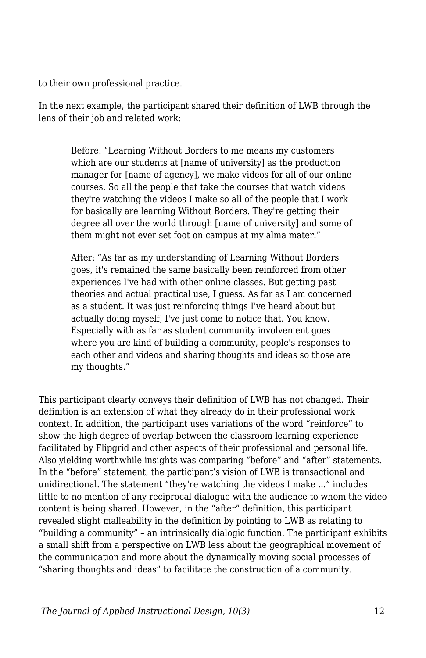to their own professional practice.

In the next example, the participant shared their definition of LWB through the lens of their job and related work:

Before: "Learning Without Borders to me means my customers which are our students at [name of university] as the production manager for [name of agency], we make videos for all of our online courses. So all the people that take the courses that watch videos they're watching the videos I make so all of the people that I work for basically are learning Without Borders. They're getting their degree all over the world through [name of university] and some of them might not ever set foot on campus at my alma mater."

After: "As far as my understanding of Learning Without Borders goes, it's remained the same basically been reinforced from other experiences I've had with other online classes. But getting past theories and actual practical use, I guess. As far as I am concerned as a student. It was just reinforcing things I've heard about but actually doing myself, I've just come to notice that. You know. Especially with as far as student community involvement goes where you are kind of building a community, people's responses to each other and videos and sharing thoughts and ideas so those are my thoughts."

This participant clearly conveys their definition of LWB has not changed. Their definition is an extension of what they already do in their professional work context. In addition, the participant uses variations of the word "reinforce" to show the high degree of overlap between the classroom learning experience facilitated by Flipgrid and other aspects of their professional and personal life. Also yielding worthwhile insights was comparing "before" and "after" statements. In the "before" statement, the participant's vision of LWB is transactional and unidirectional. The statement "they're watching the videos I make ..." includes little to no mention of any reciprocal dialogue with the audience to whom the video content is being shared. However, in the "after" definition, this participant revealed slight malleability in the definition by pointing to LWB as relating to "building a community" – an intrinsically dialogic function. The participant exhibits a small shift from a perspective on LWB less about the geographical movement of the communication and more about the dynamically moving social processes of "sharing thoughts and ideas" to facilitate the construction of a community.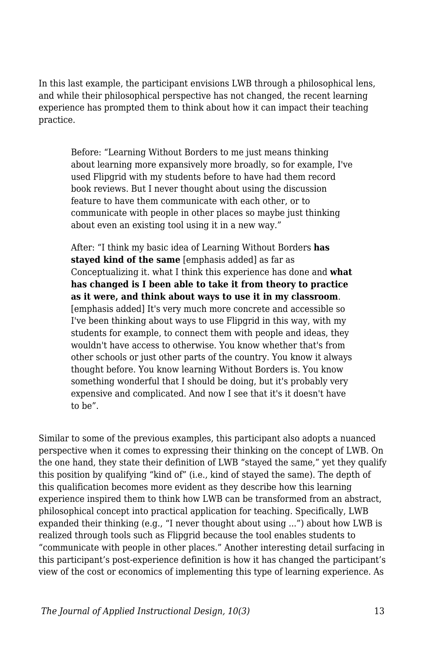In this last example, the participant envisions LWB through a philosophical lens, and while their philosophical perspective has not changed, the recent learning experience has prompted them to think about how it can impact their teaching practice.

Before: "Learning Without Borders to me just means thinking about learning more expansively more broadly, so for example, I've used Flipgrid with my students before to have had them record book reviews. But I never thought about using the discussion feature to have them communicate with each other, or to communicate with people in other places so maybe just thinking about even an existing tool using it in a new way."

After: "I think my basic idea of Learning Without Borders **has stayed kind of the same** [emphasis added] as far as Conceptualizing it. what I think this experience has done and **what has changed is I been able to take it from theory to practice as it were, and think about ways to use it in my classroom**. [emphasis added] It's very much more concrete and accessible so I've been thinking about ways to use Flipgrid in this way, with my students for example, to connect them with people and ideas, they wouldn't have access to otherwise. You know whether that's from other schools or just other parts of the country. You know it always thought before. You know learning Without Borders is. You know something wonderful that I should be doing, but it's probably very expensive and complicated. And now I see that it's it doesn't have to be".

Similar to some of the previous examples, this participant also adopts a nuanced perspective when it comes to expressing their thinking on the concept of LWB. On the one hand, they state their definition of LWB "stayed the same," yet they qualify this position by qualifying "kind of" (i.e., kind of stayed the same). The depth of this qualification becomes more evident as they describe how this learning experience inspired them to think how LWB can be transformed from an abstract, philosophical concept into practical application for teaching. Specifically, LWB expanded their thinking (e.g., "I never thought about using ...") about how LWB is realized through tools such as Flipgrid because the tool enables students to "communicate with people in other places." Another interesting detail surfacing in this participant's post-experience definition is how it has changed the participant's view of the cost or economics of implementing this type of learning experience. As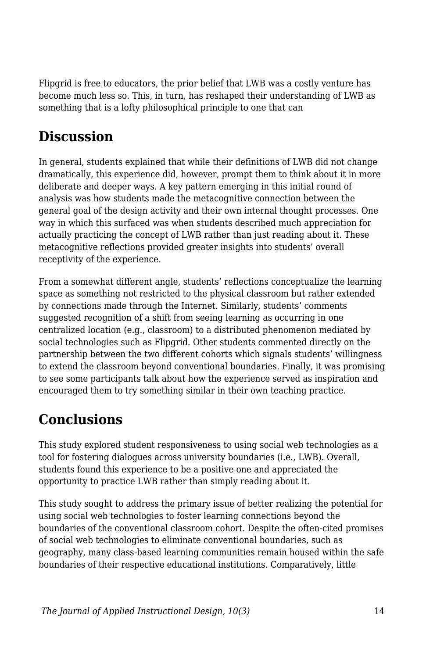Flipgrid is free to educators, the prior belief that LWB was a costly venture has become much less so. This, in turn, has reshaped their understanding of LWB as something that is a lofty philosophical principle to one that can

## **Discussion**

In general, students explained that while their definitions of LWB did not change dramatically, this experience did, however, prompt them to think about it in more deliberate and deeper ways. A key pattern emerging in this initial round of analysis was how students made the metacognitive connection between the general goal of the design activity and their own internal thought processes. One way in which this surfaced was when students described much appreciation for actually practicing the concept of LWB rather than just reading about it. These metacognitive reflections provided greater insights into students' overall receptivity of the experience.

From a somewhat different angle, students' reflections conceptualize the learning space as something not restricted to the physical classroom but rather extended by connections made through the Internet. Similarly, students' comments suggested recognition of a shift from seeing learning as occurring in one centralized location (e.g., classroom) to a distributed phenomenon mediated by social technologies such as Flipgrid. Other students commented directly on the partnership between the two different cohorts which signals students' willingness to extend the classroom beyond conventional boundaries. Finally, it was promising to see some participants talk about how the experience served as inspiration and encouraged them to try something similar in their own teaching practice.

## **Conclusions**

This study explored student responsiveness to using social web technologies as a tool for fostering dialogues across university boundaries (i.e., LWB). Overall, students found this experience to be a positive one and appreciated the opportunity to practice LWB rather than simply reading about it.

This study sought to address the primary issue of better realizing the potential for using social web technologies to foster learning connections beyond the boundaries of the conventional classroom cohort. Despite the often-cited promises of social web technologies to eliminate conventional boundaries, such as geography, many class-based learning communities remain housed within the safe boundaries of their respective educational institutions. Comparatively, little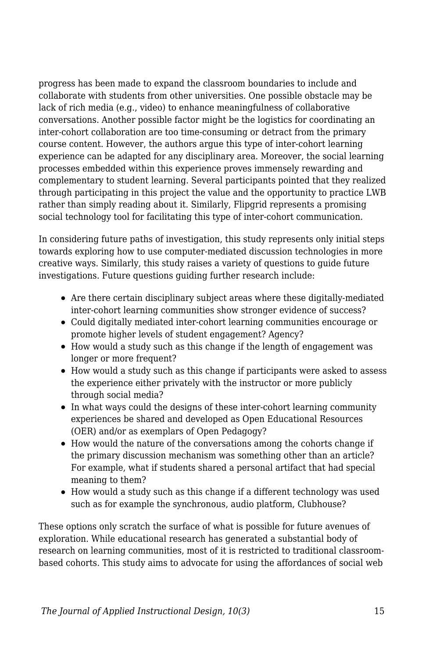progress has been made to expand the classroom boundaries to include and collaborate with students from other universities. One possible obstacle may be lack of rich media (e.g., video) to enhance meaningfulness of collaborative conversations. Another possible factor might be the logistics for coordinating an inter-cohort collaboration are too time-consuming or detract from the primary course content. However, the authors argue this type of inter-cohort learning experience can be adapted for any disciplinary area. Moreover, the social learning processes embedded within this experience proves immensely rewarding and complementary to student learning. Several participants pointed that they realized through participating in this project the value and the opportunity to practice LWB rather than simply reading about it. Similarly, Flipgrid represents a promising social technology tool for facilitating this type of inter-cohort communication.

In considering future paths of investigation, this study represents only initial steps towards exploring how to use computer-mediated discussion technologies in more creative ways. Similarly, this study raises a variety of questions to guide future investigations. Future questions guiding further research include:

- Are there certain disciplinary subject areas where these digitally-mediated inter-cohort learning communities show stronger evidence of success?
- Could digitally mediated inter-cohort learning communities encourage or promote higher levels of student engagement? Agency?
- How would a study such as this change if the length of engagement was longer or more frequent?
- How would a study such as this change if participants were asked to assess the experience either privately with the instructor or more publicly through social media?
- In what ways could the designs of these inter-cohort learning community experiences be shared and developed as Open Educational Resources (OER) and/or as exemplars of Open Pedagogy?
- How would the nature of the conversations among the cohorts change if the primary discussion mechanism was something other than an article? For example, what if students shared a personal artifact that had special meaning to them?
- How would a study such as this change if a different technology was used such as for example the synchronous, audio platform, Clubhouse?

These options only scratch the surface of what is possible for future avenues of exploration. While educational research has generated a substantial body of research on learning communities, most of it is restricted to traditional classroombased cohorts. This study aims to advocate for using the affordances of social web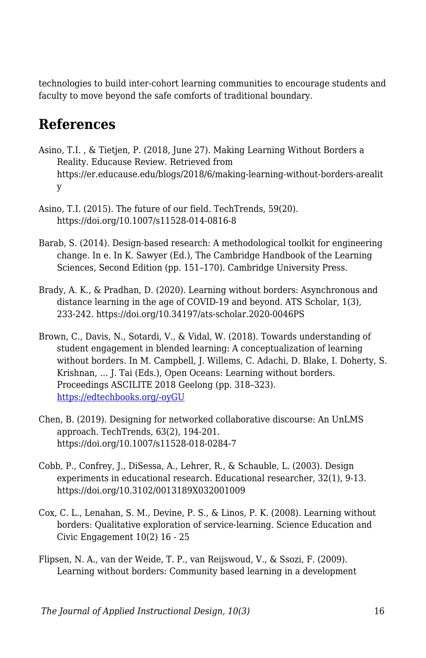technologies to build inter-cohort learning communities to encourage students and faculty to move beyond the safe comforts of traditional boundary.

## **References**

- Asino, T.I. , & Tietjen, P. (2018, June 27). Making Learning Without Borders a Reality. Educause Review. Retrieved from https://er.educause.edu/blogs/2018/6/making-learning-without-borders-arealit y
- Asino, T.I. (2015). The future of our field. TechTrends, 59(20). https://doi.org/10.1007/s11528-014-0816-8
- Barab, S. (2014). Design-based research: A methodological toolkit for engineering change. In e. In K. Sawyer (Ed.), The Cambridge Handbook of the Learning Sciences, Second Edition (pp. 151–170). Cambridge University Press.
- Brady, A. K., & Pradhan, D. (2020). Learning without borders: Asynchronous and distance learning in the age of COVID-19 and beyond. ATS Scholar, 1(3), 233-242. https://doi.org/10.34197/ats-scholar.2020-0046PS
- Brown, C., Davis, N., Sotardi, V., & Vidal, W. (2018). Towards understanding of student engagement in blended learning: A conceptualization of learning without borders. In M. Campbell, J. Willems, C. Adachi, D. Blake, I. Doherty, S. Krishnan, … J. Tai (Eds.), Open Oceans: Learning without borders. Proceedings ASCILITE 2018 Geelong (pp. 318–323). [https://edtechbooks.org/-oyGU](https://2018conference.ascilite.org/conference-proceedings/)
- Chen, B. (2019). Designing for networked collaborative discourse: An UnLMS approach. TechTrends, 63(2), 194-201. https://doi.org/10.1007/s11528-018-0284-7
- Cobb, P., Confrey, J., DiSessa, A., Lehrer, R., & Schauble, L. (2003). Design experiments in educational research. Educational researcher, 32(1), 9-13. https://doi.org/10.3102/0013189X032001009
- Cox, C. L., Lenahan, S. M., Devine, P. S., & Linos, P. K. (2008). Learning without borders: Qualitative exploration of service-learning. Science Education and Civic Engagement 10(2) 16 - 25
- Flipsen, N. A., van der Weide, T. P., van Reijswoud, V., & Ssozi, F. (2009). Learning without borders: Community based learning in a development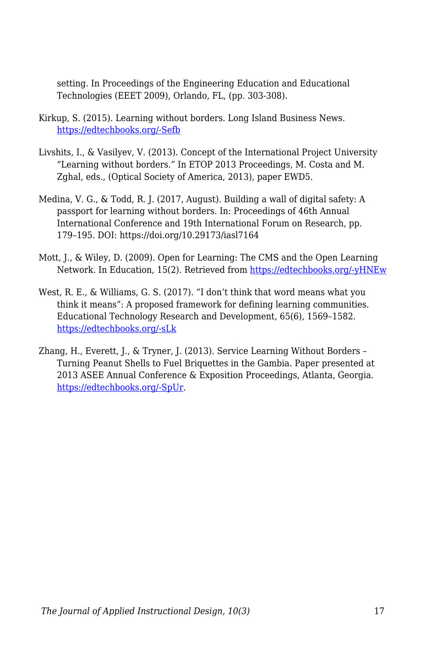setting. In Proceedings of the Engineering Education and Educational Technologies (EEET 2009), Orlando, FL, (pp. 303-308).

- Kirkup, S. (2015). Learning without borders. Long Island Business News. [https://edtechbooks.org/-Sefb](http://argo.library.okstate.edu/login?url=https://www.proquest.com/trade-journals/learning-without-borders/docview/1749888828/se-2?accountid=4117)
- Livshits, I., & Vasilyev, V. (2013). Concept of the International Project University "Learning without borders." In ETOP 2013 Proceedings, M. Costa and M. Zghal, eds., (Optical Society of America, 2013), paper EWD5.
- Medina, V. G., & Todd, R. J. (2017, August). Building a wall of digital safety: A passport for learning without borders. In: Proceedings of 46th Annual International Conference and 19th International Forum on Research, pp. 179–195. DOI: https://doi.org/10.29173/iasl7164
- Mott, J., & Wiley, D. (2009). Open for Learning: The CMS and the Open Learning Network. In Education, 15(2). Retrieved from [https://edtechbooks.org/-yHNEw](http://ineducation.ca/ineducation/article/view/53)
- West, R. E., & Williams, G. S. (2017). "I don't think that word means what you think it means": A proposed framework for defining learning communities. Educational Technology Research and Development, 65(6), 1569–1582. [https://edtechbooks.org/-sLk](https://doi.org/10.1007/s11423-017-9535-0)
- Zhang, H., Everett, J., & Tryner, J. (2013). Service Learning Without Borders Turning Peanut Shells to Fuel Briquettes in the Gambia. Paper presented at 2013 ASEE Annual Conference & Exposition Proceedings, Atlanta, Georgia. [https://edtechbooks.org/-SpUr](https://doi.org/10.18260/1-2--22449).